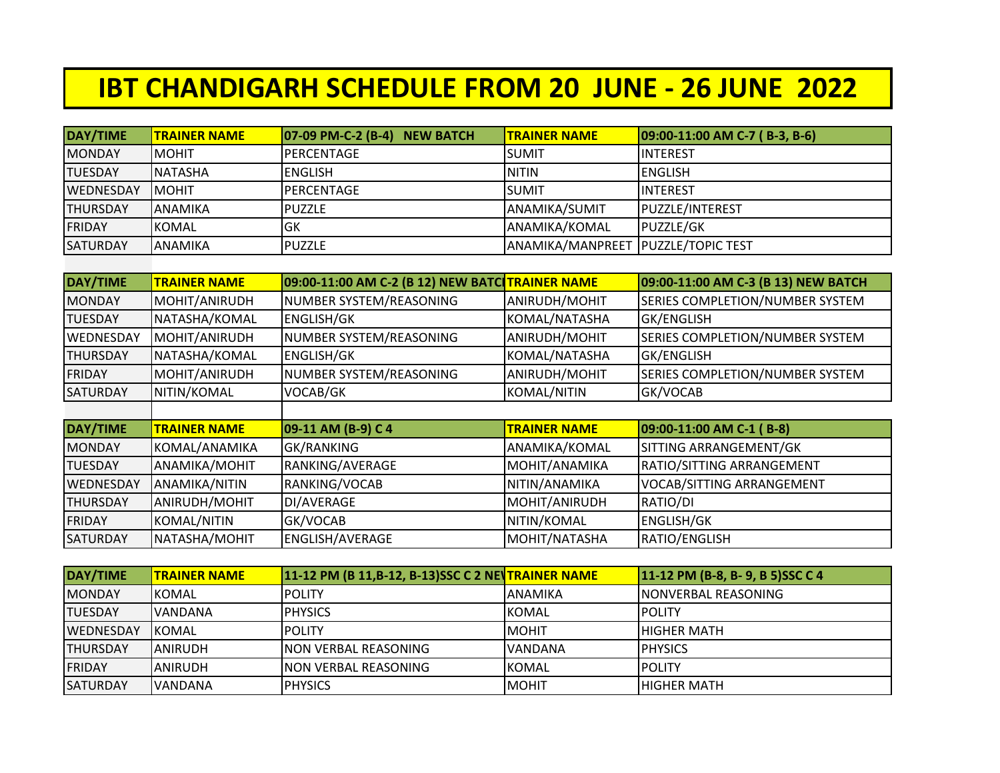## **IBT CHANDIGARH SCHEDULE FROM 20 JUNE - 26 JUNE 2022**

| DAY/TIME         | <b>TRAINER NAME</b> | $ 07-09$ PM-C-2 (B-4)<br><b>NEW BATCH</b> | <b>TRAINER NAME</b> | 09:00-11:00 AM C-7 (B-3, B-6) |
|------------------|---------------------|-------------------------------------------|---------------------|-------------------------------|
| <b>MONDAY</b>    | Імоніт              | IPERCENTAGE                               | <b>SUMIT</b>        | <b>INTEREST</b>               |
| <b>TUESDAY</b>   | <b>NATASHA</b>      | <b>ENGLISH</b>                            | <b>NITIN</b>        | <b>ENGLISH</b>                |
| <b>WEDNESDAY</b> | IMOHIT              | IPERCENTAGE                               | <b>SUMIT</b>        | <b>INTEREST</b>               |
| <b>THURSDAY</b>  | <b>JANAMIKA</b>     | PUZZLE                                    | ANAMIKA/SUMIT       | <b>PUZZLE/INTEREST</b>        |
| FRIDAY           | IKOMAL              | lgk                                       | ANAMIKA/KOMAL       | <b>PUZZLE/GK</b>              |
| <b>SATURDAY</b>  | <b>JANAMIKA</b>     | <b>I</b> PUZZLE                           | ANAMIKA/MANPREET    | <b>IPUZZLE/TOPIC TEST</b>     |
|                  |                     |                                           |                     |                               |

| DAY/TIME         | <b>TRAINER NAME</b> | 09:00-11:00 AM C-2 (B 12) NEW BATC TRAINER NAME |                     | 09:00-11:00 AM C-3 (B 13) NEW BATCH    |
|------------------|---------------------|-------------------------------------------------|---------------------|----------------------------------------|
| <b>MONDAY</b>    | MOHIT/ANIRUDH       | NUMBER SYSTEM/REASONING                         | ANIRUDH/MOHIT       | SERIES COMPLETION/NUMBER SYSTEM        |
| <b>TUESDAY</b>   | NATASHA/KOMAL       | ENGLISH/GK                                      | KOMAL/NATASHA       | <b>GK/ENGLISH</b>                      |
| <b>WEDNESDAY</b> | MOHIT/ANIRUDH       | NUMBER SYSTEM/REASONING                         | ANIRUDH/MOHIT       | SERIES COMPLETION/NUMBER SYSTEM        |
| <b>THURSDAY</b>  | NATASHA/KOMAL       | <b>ENGLISH/GK</b>                               | KOMAL/NATASHA       | <b>GK/ENGLISH</b>                      |
| <b>FRIDAY</b>    | MOHIT/ANIRUDH       | NUMBER SYSTEM/REASONING                         | ANIRUDH/MOHIT       | <b>SERIES COMPLETION/NUMBER SYSTEM</b> |
| <b>SATURDAY</b>  | NITIN/KOMAL         | VOCAB/GK                                        | KOMAL/NITIN         | GK/VOCAB                               |
|                  |                     |                                                 |                     |                                        |
| DAY/TIME         | <b>TRAINER NAME</b> | 09-11 AM (B-9) C 4                              | <b>TRAINER NAME</b> | 09:00-11:00 AM C-1 (B-8)               |
| <b>MONDAY</b>    | KOMAL/ANAMIKA       | GK/RANKING                                      | ANAMIKA/KOMAL       | SITTING ARRANGEMENT/GK                 |
| <b>TUESDAY</b>   | ANAMIKA/MOHIT       | RANKING/AVERAGE                                 | MOHIT/ANAMIKA       | RATIO/SITTING ARRANGEMENT              |
| <b>WEDNESDAY</b> | ANAMIKA/NITIN       | RANKING/VOCAB                                   | NITIN/ANAMIKA       | <b>VOCAB/SITTING ARRANGEMENT</b>       |
| <b>THURSDAY</b>  | ANIRUDH/MOHIT       | DI/AVERAGE                                      | MOHIT/ANIRUDH       | RATIO/DI                               |
| FRIDAY           | <b>KOMAL/NITIN</b>  | GK/VOCAB                                        | NITIN/KOMAL         | <b>ENGLISH/GK</b>                      |
| <b>SATURDAY</b>  | NATASHA/MOHIT       | ENGLISH/AVERAGE                                 | MOHIT/NATASHA       | RATIO/ENGLISH                          |

| DAY/TIME         | <b>ITRAINER NAME</b> | 11-12 PM (B 11, B-12, B-13) SSC C 2 NE TRAINER NAME |                | 11-12 PM (B-8, B-9, B 5) SSC C 4 |
|------------------|----------------------|-----------------------------------------------------|----------------|----------------------------------|
| <b>MONDAY</b>    | <b>IKOMAL</b>        | <b>IPOLITY</b>                                      | <b>ANAMIKA</b> | INONVERBAL REASONING             |
| <b>TUESDAY</b>   | <b>IVANDANA</b>      | <b>IPHYSICS</b>                                     | <b>KOMAL</b>   | <b>IPOLITY</b>                   |
| <b>WEDNESDAY</b> | <b>IKOMAL</b>        | <b>IPOLITY</b>                                      | <b>MOHIT</b>   | <b>IHIGHER MATH</b>              |
| <b>THURSDAY</b>  | <b>IANIRUDH</b>      | <b>INON VERBAL REASONING</b>                        | <b>VANDANA</b> | <b>IPHYSICS</b>                  |
| <b>FRIDAY</b>    | IANIRUDH             | <b>INON VERBAL REASONING</b>                        | <b>KOMAL</b>   | <b>IPOLITY</b>                   |
| <b>SATURDAY</b>  | <b>IVANDANA</b>      | <b>I</b> PHYSICS                                    | <b>IMOHIT</b>  | <b>IHIGHER MATH</b>              |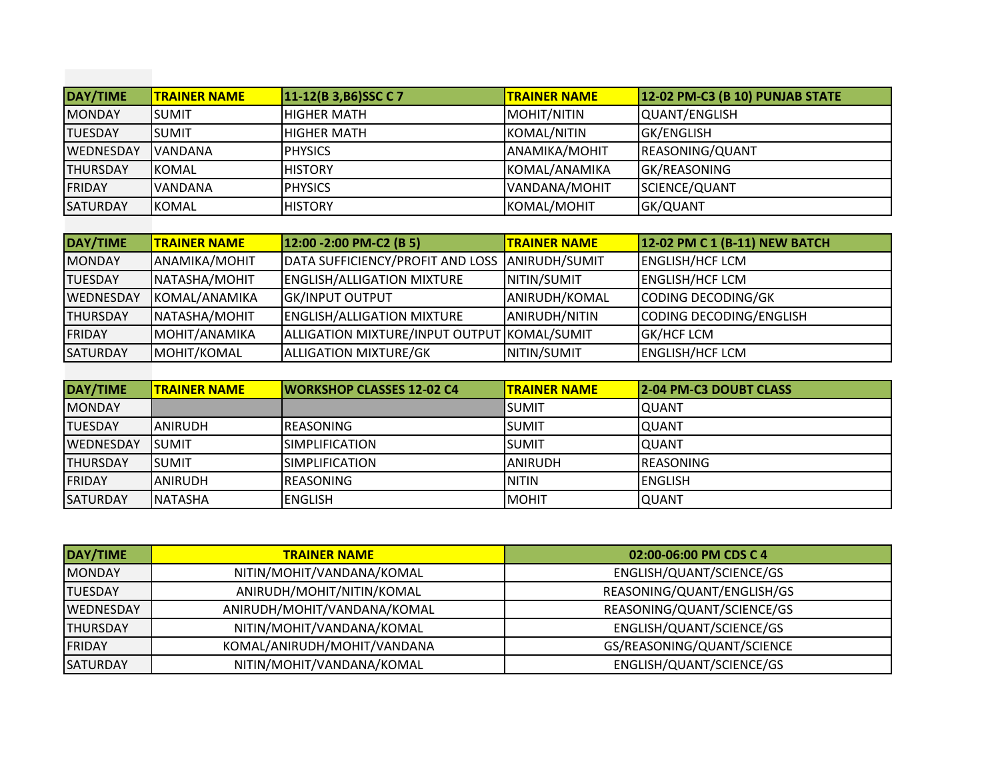| DAY/TIME         | <b>TRAINER NAME</b> | 11-12(B 3, B6) SSC C 7 | <b>TRAINER NAME</b>  | <b>12-02 PM-C3 (B 10) PUNJAB STATE</b> |
|------------------|---------------------|------------------------|----------------------|----------------------------------------|
| <b>MONDAY</b>    | ISUMIT              | IHIGHER MATH           | MOHIT/NITIN          | QUANT/ENGLISH                          |
| <b>TUESDAY</b>   | ISUMIT              | IHIGHER MATH           | KOMAL/NITIN          | <b>GK/ENGLISH</b>                      |
| <b>WEDNESDAY</b> | IVANDANA            | <b>I</b> PHYSICS       | <b>ANAMIKA/MOHIT</b> | REASONING/QUANT                        |
| <b>THURSDAY</b>  | <b>IKOMAL</b>       | <b>IHISTORY</b>        | KOMAL/ANAMIKA        | GK/REASONING                           |
| <b>IFRIDAY</b>   | <b>VANDANA</b>      | <b>I</b> PHYSICS       | VANDANA/MOHIT        | SCIENCE/QUANT                          |
| <b>SATURDAY</b>  | <b>IKOMAL</b>       | <b>IHISTORY</b>        | KOMAL/MOHIT          | GK/QUANT                               |

| DAY/TIME        | <b>TRAINER NAME</b>  | 12:00 - 2:00 PM-C2 (B 5)                       | <b>TRAINER NAME</b> | 12-02 PM C 1 (B-11) NEW BATCH |
|-----------------|----------------------|------------------------------------------------|---------------------|-------------------------------|
| <b>MONDAY</b>   | <b>ANAMIKA/MOHIT</b> | DATA SUFFICIENCY/PROFIT AND LOSS ANIRUDH/SUMIT |                     | <b>ENGLISH/HCF LCM</b>        |
| <b>TUESDAY</b>  | NATASHA/MOHIT        | <b>ENGLISH/ALLIGATION MIXTURE</b>              | NITIN/SUMIT         | <b>ENGLISH/HCF LCM</b>        |
| WEDNESDAY       | KOMAL/ANAMIKA        | <b>GK/INPUT OUTPUT</b>                         | ANIRUDH/KOMAL       | CODING DECODING/GK            |
| <b>THURSDAY</b> | NATASHA/MOHIT        | <b>ENGLISH/ALLIGATION MIXTURE</b>              | ANIRUDH/NITIN       | CODING DECODING/ENGLISH       |
| <b>FRIDAY</b>   | MOHIT/ANAMIKA        | ALLIGATION MIXTURE/INPUT OUTPUT KOMAL/SUMIT    |                     | <b>GK/HCF LCM</b>             |
| <b>SATURDAY</b> | MOHIT/KOMAL          | <b>ALLIGATION MIXTURE/GK</b>                   | NITIN/SUMIT         | <b>ENGLISH/HCF LCM</b>        |

| DAY/TIME          | <b>ITRAINER NAME</b> | <b>IWORKSHOP CLASSES 12-02 C4</b> | <b>ITRAINER NAME</b> | <b>2-04 PM-C3 DOUBT CLASS</b> |
|-------------------|----------------------|-----------------------------------|----------------------|-------------------------------|
| <b>MONDAY</b>     |                      |                                   | lsumit               | IQUANT                        |
| <b>TUESDAY</b>    | <b>IANIRUDH</b>      | IREASONING                        | <b>SUMIT</b>         | IQUANT                        |
| <b>IWEDNESDAY</b> | <b>ISUMIT</b>        | <b>ISIMPLIFICATION</b>            | <b>SUMIT</b>         | <b>QUANT</b>                  |
| <b>THURSDAY</b>   | Isumit               | ISIMPLIFICATION                   | <b>ANIRUDH</b>       | <b>IREASONING</b>             |
| <b>FRIDAY</b>     | IANIRUDH             | IREASONING                        | <b>INITIN</b>        | IENGLISH                      |
| <b>SATURDAY</b>   | <b>INATASHA</b>      | IENGLISH                          | IMOHIT               | IQUANT                        |

| DAY/TIME         | <b>TRAINER NAME</b>         | 02:00-06:00 PM CDS C 4     |
|------------------|-----------------------------|----------------------------|
| <b>MONDAY</b>    | NITIN/MOHIT/VANDANA/KOMAL   | ENGLISH/QUANT/SCIENCE/GS   |
| <b>TUESDAY</b>   | ANIRUDH/MOHIT/NITIN/KOMAL   | REASONING/QUANT/ENGLISH/GS |
| <b>WEDNESDAY</b> | ANIRUDH/MOHIT/VANDANA/KOMAL | REASONING/QUANT/SCIENCE/GS |
| <b>THURSDAY</b>  | NITIN/MOHIT/VANDANA/KOMAL   | ENGLISH/QUANT/SCIENCE/GS   |
| FRIDAY           | KOMAL/ANIRUDH/MOHIT/VANDANA | GS/REASONING/QUANT/SCIENCE |
| <b>SATURDAY</b>  | NITIN/MOHIT/VANDANA/KOMAL   | ENGLISH/QUANT/SCIENCE/GS   |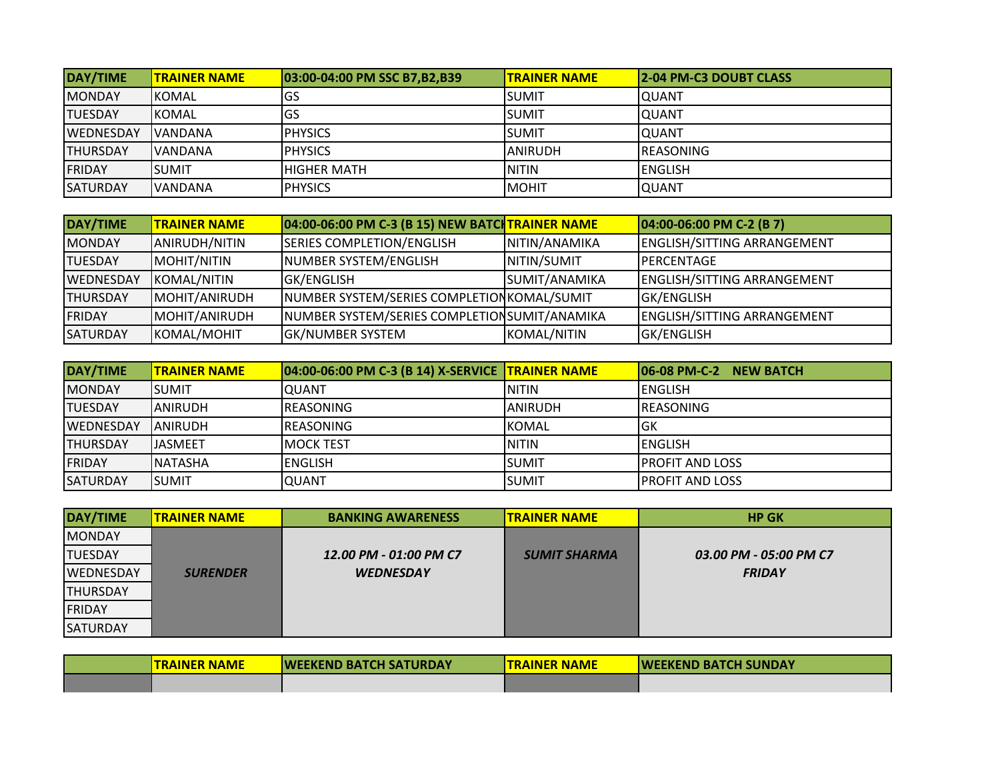| DAY/TIME         | <b>ITRAINER NAME</b> | 03:00-04:00 PM SSC B7.B2.B39 | <b>ITRAINER NAME</b> | <b>2-04 PM-C3 DOUBT CLASS</b> |
|------------------|----------------------|------------------------------|----------------------|-------------------------------|
| <b>MONDAY</b>    | <b>IKOMAL</b>        | lGS                          | <b>SUMIT</b>         | IQUANT                        |
| <b>ITUESDAY</b>  | <b>IKOMAL</b>        | lGS                          | <b>SUMIT</b>         | IQUANT                        |
| <b>WEDNESDAY</b> | IVANDANA             | <b>PHYSICS</b>               | <b>SUMIT</b>         | IQUANT                        |
| <b>ITHURSDAY</b> | IVANDANA             | <b>IPHYSICS</b>              | IANIRUDH             | <b>IREASONING</b>             |
| <b>FRIDAY</b>    | ISUMIT               | IHIGHER MATH                 | <b>NITIN</b>         | <b>IENGLISH</b>               |
| <b>SATURDAY</b>  | IVANDANA             | <b>I</b> PHYSICS             | <b>MOHIT</b>         | <b>QUANT</b>                  |

| DAY/TIME        | <b>TRAINER NAME</b> | 04:00-06:00 PM C-3 (B 15) NEW BATCHTRAINER NAME |               | $[04:00-06:00$ PM C-2 (B 7)        |
|-----------------|---------------------|-------------------------------------------------|---------------|------------------------------------|
| <b>MONDAY</b>   | ANIRUDH/NITIN       | <b>SERIES COMPLETION/ENGLISH</b>                | NITIN/ANAMIKA | <b>ENGLISH/SITTING ARRANGEMENT</b> |
| <b>TUESDAY</b>  | MOHIT/NITIN         | NUMBER SYSTEM/ENGLISH                           | NITIN/SUMIT   | <b>IPERCENTAGE</b>                 |
| WEDNESDAY       | KOMAL/NITIN         | <b>GK/ENGLISH</b>                               | SUMIT/ANAMIKA | <b>ENGLISH/SITTING ARRANGEMENT</b> |
| <b>THURSDAY</b> | MOHIT/ANIRUDH       | NUMBER SYSTEM/SERIES COMPLETION KOMAL/SUMIT     |               | <b>GK/ENGLISH</b>                  |
| <b>FRIDAY</b>   | MOHIT/ANIRUDH       | NUMBER SYSTEM/SERIES COMPLETION SUMIT/ANAMIKA   |               | ENGLISH/SITTING ARRANGEMENT        |
| <b>SATURDAY</b> | KOMAL/MOHIT         | <b>GK/NUMBER SYSTEM</b>                         | KOMAL/NITIN   | <b>GK/ENGLISH</b>                  |

| DAY/TIME         | <b>ITRAINER NAME</b> | 04:00-06:00 PM C-3 (B 14) X-SERVICE TRAINER NAME |                | 106-08 PM-C-2 NEW BATCH |
|------------------|----------------------|--------------------------------------------------|----------------|-------------------------|
| <b>MONDAY</b>    | <b>I</b> SUMIT       | IQUANT                                           | <b>NITIN</b>   | <b>ENGLISH</b>          |
| <b>TUESDAY</b>   | <b>JANIRUDH</b>      | <b>IREASONING</b>                                | <b>ANIRUDH</b> | <b>IREASONING</b>       |
| <b>WEDNESDAY</b> | <b>JANIRUDH</b>      | <b>IREASONING</b>                                | <b>KOMAL</b>   | <b>IGK</b>              |
| <b>THURSDAY</b>  | <b>IJASMEET</b>      | IMOCK TEST                                       | <b>NITIN</b>   | IENGLISH                |
| <b>FRIDAY</b>    | <b>INATASHA</b>      | IENGLISH                                         | <b>SUMIT</b>   | <b>IPROFIT AND LOSS</b> |
| <b>SATURDAY</b>  | <b>ISUMIT</b>        | <b>QUANT</b>                                     | lsumit         | <b>IPROFIT AND LOSS</b> |

| DAY/TIME         | <b>ITRAINER NAME</b> | <b>BANKING AWARENESS</b> | <b>ITRAINER NAME</b> | <b>HP GK</b>           |
|------------------|----------------------|--------------------------|----------------------|------------------------|
| <b>MONDAY</b>    |                      |                          |                      |                        |
| <b>TUESDAY</b>   |                      | 12.00 PM - 01:00 PM C7   | <b>SUMIT SHARMA</b>  | 03.00 PM - 05:00 PM C7 |
| <b>WEDNESDAY</b> | <b>SURENDER</b>      | <b>WEDNESDAY</b>         |                      | <b>FRIDAY</b>          |
| <b>THURSDAY</b>  |                      |                          |                      |                        |
| FRIDAY           |                      |                          |                      |                        |
| <b>SATURDAY</b>  |                      |                          |                      |                        |

| <b>ITRAINER NAME</b> | <b>IWEEKEND BATCH SATURDAY</b> | <b>ITRAINER NAME</b> | <b>IWEEKEND BATCH SUNDAY</b> |
|----------------------|--------------------------------|----------------------|------------------------------|
|                      |                                |                      |                              |